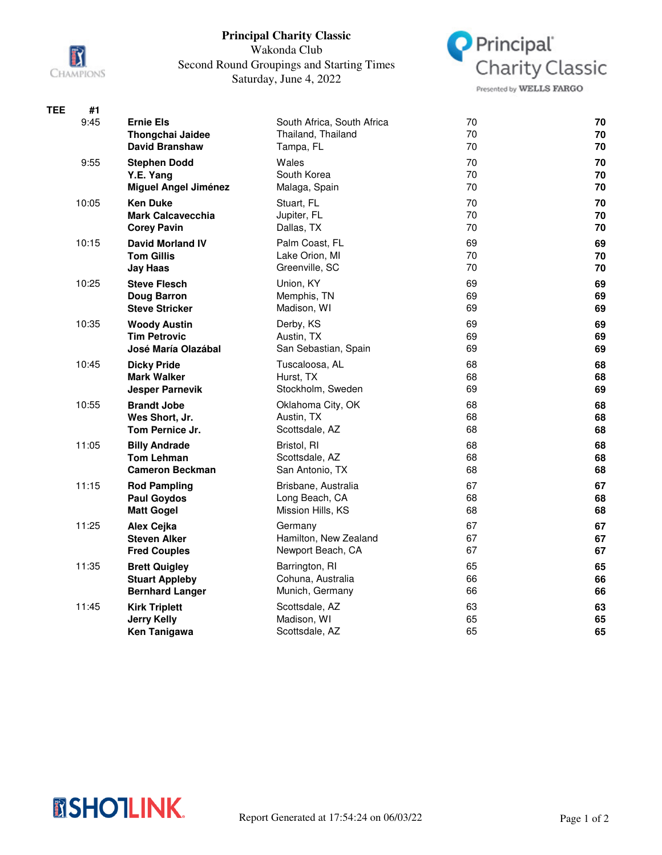

## **Principal Charity Classic**

Wakonda Club Second Round Groupings and Starting Times Saturday, June 4, 2022



Presented by WELLS FARGO

| <b>TEE</b> | #1    |                                                                         |                                                               |                |                |
|------------|-------|-------------------------------------------------------------------------|---------------------------------------------------------------|----------------|----------------|
|            | 9:45  | <b>Ernie Els</b><br>Thongchai Jaidee<br>David Branshaw                  | South Africa, South Africa<br>Thailand, Thailand<br>Tampa, FL | 70<br>70<br>70 | 70<br>70<br>70 |
|            | 9:55  | <b>Stephen Dodd</b><br>Y.E. Yang<br><b>Miguel Angel Jiménez</b>         | Wales<br>South Korea<br>Malaga, Spain                         | 70<br>70<br>70 | 70<br>70<br>70 |
|            | 10:05 | <b>Ken Duke</b><br><b>Mark Calcavecchia</b><br><b>Corey Pavin</b>       | Stuart, FL<br>Jupiter, FL<br>Dallas, TX                       | 70<br>70<br>70 | 70<br>70<br>70 |
|            | 10:15 | <b>David Morland IV</b><br><b>Tom Gillis</b><br><b>Jay Haas</b>         | Palm Coast, FL<br>Lake Orion, MI<br>Greenville, SC            | 69<br>70<br>70 | 69<br>70<br>70 |
|            | 10:25 | <b>Steve Flesch</b><br>Doug Barron<br><b>Steve Stricker</b>             | Union, KY<br>Memphis, TN<br>Madison, WI                       | 69<br>69<br>69 | 69<br>69<br>69 |
|            | 10:35 | <b>Woody Austin</b><br><b>Tim Petrovic</b><br>José María Olazábal       | Derby, KS<br>Austin, TX<br>San Sebastian, Spain               | 69<br>69<br>69 | 69<br>69<br>69 |
|            | 10:45 | <b>Dicky Pride</b><br><b>Mark Walker</b><br><b>Jesper Parnevik</b>      | Tuscaloosa, AL<br>Hurst, TX<br>Stockholm, Sweden              | 68<br>68<br>69 | 68<br>68<br>69 |
|            | 10:55 | <b>Brandt Jobe</b><br>Wes Short, Jr.<br>Tom Pernice Jr.                 | Oklahoma City, OK<br>Austin, TX<br>Scottsdale, AZ             | 68<br>68<br>68 | 68<br>68<br>68 |
|            | 11:05 | <b>Billy Andrade</b><br><b>Tom Lehman</b><br><b>Cameron Beckman</b>     | Bristol, RI<br>Scottsdale, AZ<br>San Antonio, TX              | 68<br>68<br>68 | 68<br>68<br>68 |
|            | 11:15 | <b>Rod Pampling</b><br><b>Paul Goydos</b><br><b>Matt Gogel</b>          | Brisbane, Australia<br>Long Beach, CA<br>Mission Hills, KS    | 67<br>68<br>68 | 67<br>68<br>68 |
|            | 11:25 | Alex Cejka<br><b>Steven Alker</b><br><b>Fred Couples</b>                | Germany<br>Hamilton, New Zealand<br>Newport Beach, CA         | 67<br>67<br>67 | 67<br>67<br>67 |
|            | 11:35 | <b>Brett Quigley</b><br><b>Stuart Appleby</b><br><b>Bernhard Langer</b> | Barrington, RI<br>Cohuna, Australia<br>Munich, Germany        | 65<br>66<br>66 | 65<br>66<br>66 |
|            | 11:45 | <b>Kirk Triplett</b><br><b>Jerry Kelly</b><br><b>Ken Tanigawa</b>       | Scottsdale, AZ<br>Madison, WI<br>Scottsdale, AZ               | 63<br>65<br>65 | 63<br>65<br>65 |
|            |       |                                                                         |                                                               |                |                |